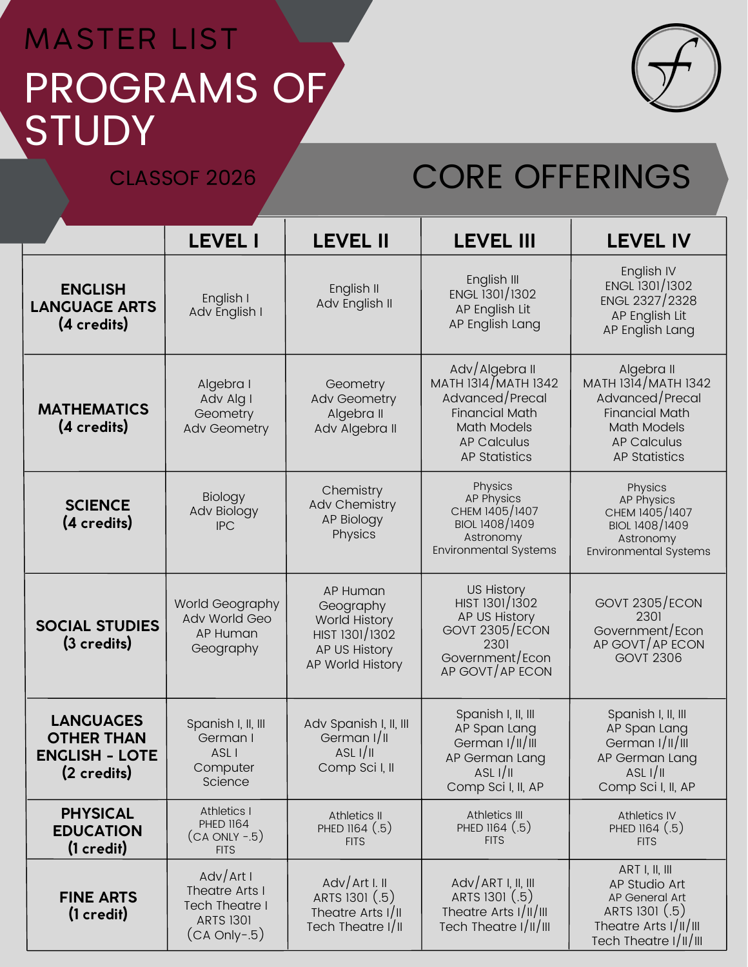## PROGRAMS OF **STUDY** MASTER LIST



## CLASSOF 2026 CORE OFFERINGS

|                                                                               | <b>LEVEL I</b>                                                                        | <b>LEVEL II</b>                                                                                      | <b>LEVEL III</b>                                                                                                                                      | <b>LEVEL IV</b>                                                                                                                                   |
|-------------------------------------------------------------------------------|---------------------------------------------------------------------------------------|------------------------------------------------------------------------------------------------------|-------------------------------------------------------------------------------------------------------------------------------------------------------|---------------------------------------------------------------------------------------------------------------------------------------------------|
| <b>ENGLISH</b><br><b>LANGUAGE ARTS</b><br>(4 credits)                         | English I<br>Adv English I                                                            | English II<br>Adv English II                                                                         | English III<br>ENGL 1301/1302<br>AP English Lit<br>AP English Lang                                                                                    | English IV<br>ENGL 1301/1302<br>ENGL 2327/2328<br>AP English Lit<br>AP English Lang                                                               |
| <b>MATHEMATICS</b><br>(4 credits)                                             | Algebra I<br>Adv Alg I<br>Geometry<br>Adv Geometry                                    | Geometry<br><b>Adv Geometry</b><br>Algebra II<br>Adv Algebra II                                      | Adv/Algebra II<br>MATH 1314/MATH 1342<br>Advanced/Precal<br><b>Financial Math</b><br><b>Math Models</b><br><b>AP Calculus</b><br><b>AP Statistics</b> | Algebra II<br>MATH 1314/MATH 1342<br>Advanced/Precal<br><b>Financial Math</b><br><b>Math Models</b><br><b>AP Calculus</b><br><b>AP Statistics</b> |
| <b>SCIENCE</b><br>(4 credits)                                                 | Biology<br>Adv Biology<br><b>IPC</b>                                                  | Chemistry<br><b>Adv Chemistry</b><br><b>AP Biology</b><br>Physics                                    | Physics<br><b>AP Physics</b><br>CHEM 1405/1407<br>BIOL 1408/1409<br>Astronomy<br><b>Environmental Systems</b>                                         | Physics<br><b>AP Physics</b><br>CHEM 1405/1407<br>BIOL 1408/1409<br>Astronomy<br><b>Environmental Systems</b>                                     |
| <b>SOCIAL STUDIES</b><br>(3 credits)                                          | World Geography<br>Adv World Geo<br>AP Human<br>Geography                             | AP Human<br>Geography<br><b>World History</b><br>HIST 1301/1302<br>AP US History<br>AP World History | <b>US History</b><br>HIST 1301/1302<br>AP US History<br>GOVT 2305/ECON<br>2301<br>Government/Econ<br>AP GOVT/AP ECON                                  | <b>GOVT 2305/ECON</b><br>2301<br>Government/Econ<br>AP GOVT AP ECON<br><b>GOVT 2306</b>                                                           |
| <b>LANGUAGES</b><br><b>OTHER THAN</b><br><b>ENGLISH - LOTE</b><br>(2 credits) | Spanish I, II, III<br>German I<br>ASL I<br>Computer<br>Science                        | Adv Spanish I, II, III<br>German I/II<br>ASL I/II<br>Comp Sci I, II                                  | Spanish I, II, III<br>AP Span Lang<br>German $1/  /   $<br>AP German Lang<br>ASL $1/1$<br>Comp Sci I, II, AP                                          | Spanish I, II, III<br>AP Span Lang<br>German $1/  /    $<br>AP German Lang<br>ASL I/II<br>Comp Sci I, II, AP                                      |
| <b>PHYSICAL</b><br><b>EDUCATION</b><br>$(1 \ncredit)$                         | <b>Athletics I</b><br><b>PHED 1164</b><br>$(CA ONLY - 5)$<br><b>FITS</b>              | Athletics II<br>PHED 1164 (.5)<br><b>FITS</b>                                                        | Athletics III<br>PHED 1164 (.5)<br><b>FITS</b>                                                                                                        | <b>Athletics IV</b><br>PHED 1164 (.5)<br><b>FITS</b>                                                                                              |
| <b>FINE ARTS</b><br>$(1 \ncredit)$                                            | AdV/Art I<br>Theatre Arts I<br>Tech Theatre I<br><b>ARTS 1301</b><br>$(CA Only - .5)$ | AdV/Art I. II<br>ARTS 1301 (.5)<br>Theatre Arts I/II<br>Tech Theatre I/II                            | $AdV/ART$ I, II, III<br>ARTS 1301 (.5)<br>Theatre Arts I/II/III<br>Tech Theatre I/II/III                                                              | ART I, II, III<br>AP Studio Art<br>AP General Art<br>ARTS 1301 (.5)<br>Theatre Arts $1/  /   $<br>Tech Theatre I/II/III                           |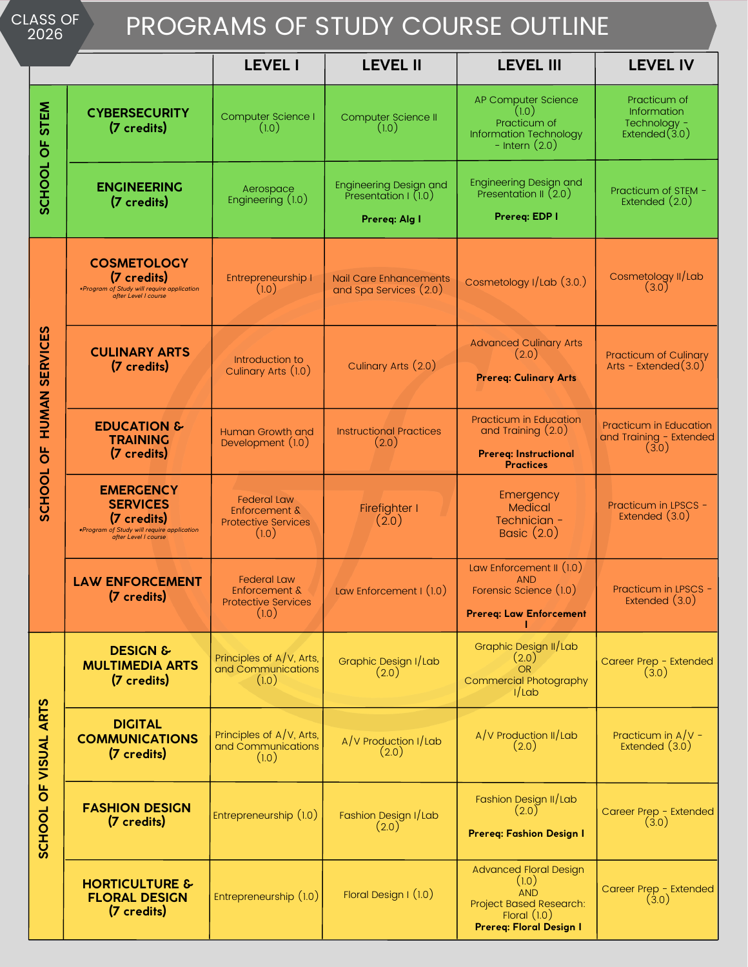| <b>CLASS OF</b> |  |
|-----------------|--|
| າດາຂ            |  |

## PROGRAMS OF STUDY COURSE OUTLINE

| 2026                                              |                                                                                                                          |                                                                            |                                                                        | TINOOINAIVIO OI OTODI OOONOL OOTEINE                                                                                         |                                                                        |
|---------------------------------------------------|--------------------------------------------------------------------------------------------------------------------------|----------------------------------------------------------------------------|------------------------------------------------------------------------|------------------------------------------------------------------------------------------------------------------------------|------------------------------------------------------------------------|
|                                                   |                                                                                                                          | <b>LEVEL I</b>                                                             | <b>LEVEL II</b>                                                        | <b>LEVEL III</b>                                                                                                             | <b>LEVEL IV</b>                                                        |
| <b>STEM</b><br>SCHOOL OF                          | <b>CYBERSECURITY</b><br>(7 credits)                                                                                      | Computer Science I<br>(1.0)                                                | Computer Science II<br>(1.0)                                           | AP Computer Science<br>(1.0)<br>Practicum of<br>Information Technology<br>- Intern $(2.0)$                                   | Practicum of<br><b>Information</b><br>Technology -<br>Extended $(3.0)$ |
|                                                   | <b>ENGINEERING</b><br>(7 credits)                                                                                        | Aerospace<br>Engineering (1.0)                                             | <b>Engineering Design and</b><br>Presentation $(1.0)$<br>Prereq: Alg I | <b>Engineering Design and</b><br>Presentation II (2.0)<br>Prereq: EDP I                                                      | Practicum of STEM -<br>Extended $(2.0)$                                |
| HUMAN SERVICES<br>$\overline{6}$<br><b>SCHOOL</b> | <b>COSMETOLOGY</b><br>(7 credits)<br>*Program of Study will require application<br>after Level I course                  | Entrepreneurship I<br>(1.0)                                                | Nail Care Enhancements<br>and Spa Services (2.0)                       | Cosmetology I/Lab (3.0.)                                                                                                     | Cosmetology II/Lab<br>(3.0)                                            |
|                                                   | <b>CULINARY ARTS</b><br>(7 credits)                                                                                      | Introduction to<br>Culinary Arts (1.0)                                     | Culinary Arts (2.0)                                                    | <b>Advanced Culinary Arts</b><br>(2.0)<br><b>Prereq: Culinary Arts</b>                                                       | Practicum of Culinary<br>Arts - Extended $(3.0)^{7}$                   |
|                                                   | <b>EDUCATION &amp;</b><br><b>TRAINING</b><br>(7 credits)                                                                 | Human Growth and<br>Development (1.0)                                      | <b>Instructional Practices</b><br>(2.0)                                | Practicum in Education<br>and Training $(2.0)$<br><b>Prereq: Instructional</b><br><b>Practices</b>                           | <b>Practicum in Education</b><br>and Training - Extended<br>(3.0)      |
|                                                   | <b>EMERGENCY</b><br><b>SERVICES</b><br>(7 credits)<br>.Program of Study will require application<br>after Level I course | <b>Federal Law</b><br>Enforcement &<br><b>Protective Services</b><br>(1.0) | Firefighter I<br>(2.0)                                                 | Emergency<br>Medical<br>Technician -<br>Basic (2.0)                                                                          | Practicum in LPSCS -<br>Extended (3.0)                                 |
|                                                   | <b>LAW ENFORCEMENT</b><br>(7 credits)                                                                                    | <b>Federal Law</b><br>Enforcement &<br><b>Protective Services</b><br>(1.0) | Law Enforcement $I(1.0)$                                               | Law Enforcement II (1.0)<br>AND<br>Forensic Science (1.0)<br><b>Prereq: Law Enforcement</b>                                  | Practicum in LPSCS -<br>Extended (3.0)                                 |
| OF VISUAL ARTS<br><b>SCHOOL</b>                   | <b>DESIGN &amp;</b><br><b>MULTIMEDIA ARTS</b><br>(7 credits)                                                             | Principles of A/V, Arts,<br>and Communications<br>(1.0)                    | Graphic Design I/Lab<br>(2.0)                                          | Graphic Design II/Lab<br>(2.0)<br><b>OR</b><br><b>Commercial Photography</b><br>1/Lab                                        | Career Prep - Extended<br>(3.0)                                        |
|                                                   | <b>DIGITAL</b><br><b>COMMUNICATIONS</b><br>(7 credits)                                                                   | Principles of A/V, Arts,<br>and Communications<br>(1.0)                    | A/V Production I/Lab<br>(2.0)                                          | $A/V$ Production II/Lab<br>(2.0)                                                                                             | Practicum in $A/V -$<br>Extended $(3.0)$                               |
|                                                   | <b>FASHION DESIGN</b><br>(7 credits)                                                                                     | Entrepreneurship (1.0)                                                     | Fashion Design I/Lab<br>(2.0)                                          | Fashion Design II/Lab<br>(2.0)<br>Prereq: Fashion Design I                                                                   | Career Prep - Extended<br>(3.0)                                        |
|                                                   | <b>HORTICULTURE &amp;</b><br><b>FLORAL DESIGN</b><br>(7 credits)                                                         | Entrepreneurship (1.0)                                                     | Floral Design I (1.0)                                                  | <b>Advanced Floral Design</b><br>(1.0)<br><b>AND</b><br>Project Based Research:<br>Floral $(1.0)$<br>Prereq: Floral Design I | Career Prep - Extended<br>(3.0)                                        |